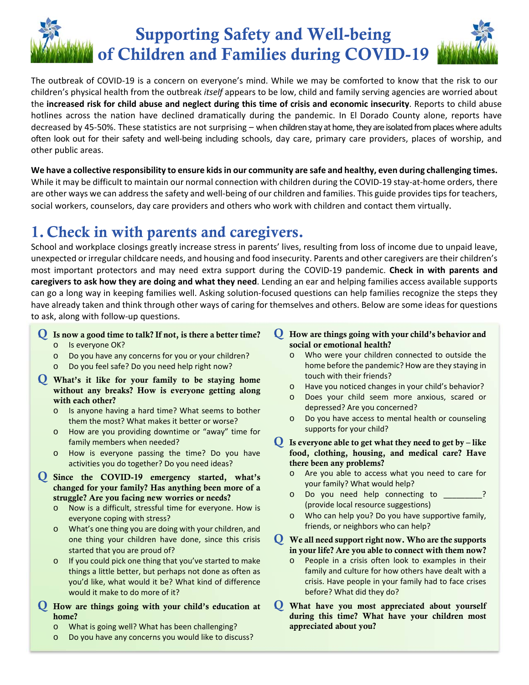# Supporting Safety and Well-being of Children and Families during COVID-19

The outbreak of COVID‐19 is a concern on everyone's mind. While we may be comforted to know that the risk to our children's physical health from the outbreak *itself* appears to be low, child and family serving agencies are worried about the **increased risk for child abuse and neglect during this time of crisis and economic insecurity**. Reports to child abuse hotlines across the nation have declined dramatically during the pandemic. In El Dorado County alone, reports have decreased by 45‐50%. These statistics are not surprising – when children stay at home, they are isolated from places where adults often look out for their safety and well‐being including schools, day care, primary care providers, places of worship, and other public areas.

**We have a collective responsibility to ensure kids in our community are safe and healthy, even during challenging times.** While it may be difficult to maintain our normal connection with children during the COVID-19 stay-at-home orders, there are other ways we can address the safety and well‐being of our children and families. This guide provides tips for teachers, social workers, counselors, day care providers and others who work with children and contact them virtually.

### 1.Check in with parents and caregivers.

School and workplace closings greatly increase stress in parents' lives, resulting from loss of income due to unpaid leave, unexpected or irregular childcare needs, and housing and food insecurity. Parents and other caregivers are their children's most important protectors and may need extra support during the COVID‐19 pandemic. **Check in with parents and caregivers to ask how they are doing and what they need**. Lending an ear and helping families access available supports can go a long way in keeping families well. Asking solution‐focused questions can help families recognize the steps they have already taken and think through other ways of caring for themselves and others. Below are some ideas for questions to ask, along with follow‐up questions.

- Q Is now a good time to talk? If not, is there a better time?
	- o Is everyone OK?
	- o Do you have any concerns for you or your children?
	- o Do you feel safe? Do you need help right now?
- Q What's it like for your family to be staying home without any breaks? How is everyone getting along with each other?
	- o Is anyone having a hard time? What seems to bother them the most? What makes it better or worse?
	- o How are you providing downtime or "away" time for family members when needed?
	- o How is everyone passing the time? Do you have activities you do together? Do you need ideas?
- Q Since the COVID-19 emergency started, what's changed for your family? Has anything been more of a struggle? Are you facing new worries or needs?
	- o Now is a difficult, stressful time for everyone. How is everyone coping with stress?
	- o What's one thing you are doing with your children, and one thing your children have done, since this crisis started that you are proud of?
	- o If you could pick one thing that you've started to make things a little better, but perhaps not done as often as you'd like, what would it be? What kind of difference would it make to do more of it?
- Q How are things going with your child's education at home?
	- o What is going well? What has been challenging?
	- o Do you have any concerns you would like to discuss?
- Q How are things going with your child's behavior and social or emotional health?
	- o Who were your children connected to outside the home before the pandemic? How are they staying in touch with their friends?
	- o Have you noticed changes in your child's behavior?
	- o Does your child seem more anxious, scared or depressed? Are you concerned?
	- o Do you have access to mental health or counseling supports for your child?
- $\mathbf Q$  Is everyone able to get what they need to get by like food, clothing, housing, and medical care? Have there been any problems?
	- o Are you able to access what you need to care for your family? What would help?
	- Do you need help connecting to \_\_\_\_\_\_\_\_? (provide local resource suggestions)
	- o Who can help you? Do you have supportive family, friends, or neighbors who can help?
- Q We all need support right now. Who are the supports in your life? Are you able to connect with them now?
	- o People in a crisis often look to examples in their family and culture for how others have dealt with a crisis. Have people in your family had to face crises before? What did they do?
- Q What have you most appreciated about yourself during this time? What have your children most appreciated about you?